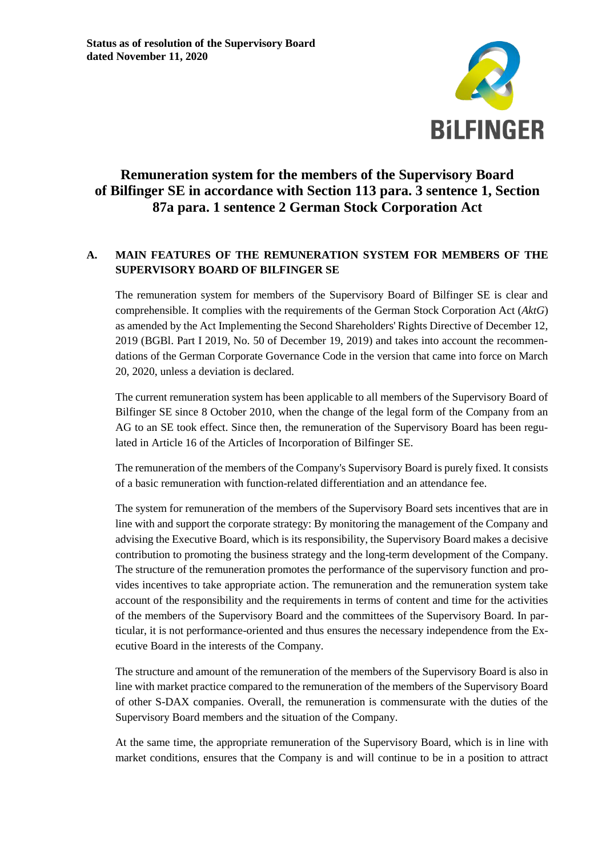

# **Remuneration system for the members of the Supervisory Board of Bilfinger SE in accordance with Section 113 para. 3 sentence 1, Section 87a para. 1 sentence 2 German Stock Corporation Act**

## **A. MAIN FEATURES OF THE REMUNERATION SYSTEM FOR MEMBERS OF THE SUPERVISORY BOARD OF BILFINGER SE**

The remuneration system for members of the Supervisory Board of Bilfinger SE is clear and comprehensible. It complies with the requirements of the German Stock Corporation Act (*AktG*) as amended by the Act Implementing the Second Shareholders' Rights Directive of December 12, 2019 (BGBl. Part I 2019, No. 50 of December 19, 2019) and takes into account the recommendations of the German Corporate Governance Code in the version that came into force on March 20, 2020, unless a deviation is declared.

The current remuneration system has been applicable to all members of the Supervisory Board of Bilfinger SE since 8 October 2010, when the change of the legal form of the Company from an AG to an SE took effect. Since then, the remuneration of the Supervisory Board has been regulated in Article 16 of the Articles of Incorporation of Bilfinger SE.

The remuneration of the members of the Company's Supervisory Board is purely fixed. It consists of a basic remuneration with function-related differentiation and an attendance fee.

The system for remuneration of the members of the Supervisory Board sets incentives that are in line with and support the corporate strategy: By monitoring the management of the Company and advising the Executive Board, which is its responsibility, the Supervisory Board makes a decisive contribution to promoting the business strategy and the long-term development of the Company. The structure of the remuneration promotes the performance of the supervisory function and provides incentives to take appropriate action. The remuneration and the remuneration system take account of the responsibility and the requirements in terms of content and time for the activities of the members of the Supervisory Board and the committees of the Supervisory Board. In particular, it is not performance-oriented and thus ensures the necessary independence from the Executive Board in the interests of the Company.

The structure and amount of the remuneration of the members of the Supervisory Board is also in line with market practice compared to the remuneration of the members of the Supervisory Board of other S-DAX companies. Overall, the remuneration is commensurate with the duties of the Supervisory Board members and the situation of the Company.

At the same time, the appropriate remuneration of the Supervisory Board, which is in line with market conditions, ensures that the Company is and will continue to be in a position to attract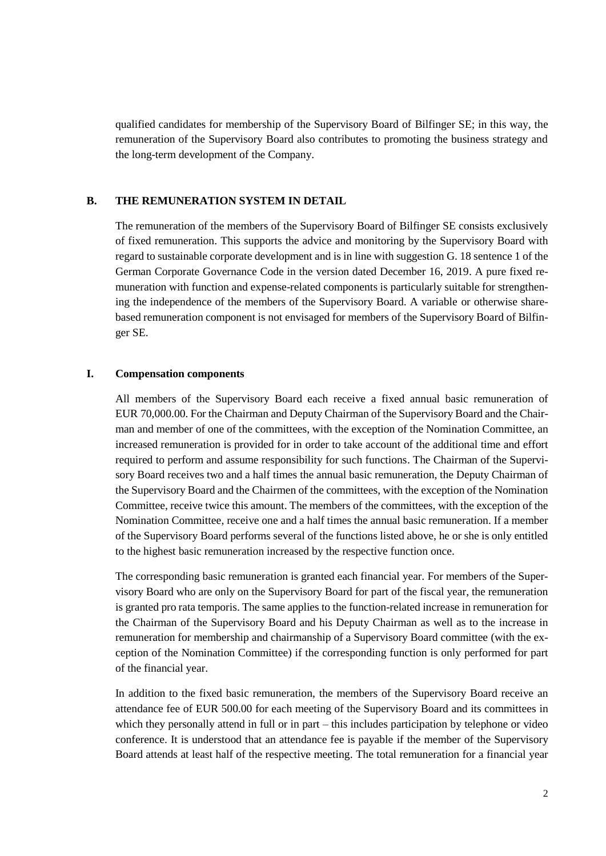qualified candidates for membership of the Supervisory Board of Bilfinger SE; in this way, the remuneration of the Supervisory Board also contributes to promoting the business strategy and the long-term development of the Company.

#### **B. THE REMUNERATION SYSTEM IN DETAIL**

The remuneration of the members of the Supervisory Board of Bilfinger SE consists exclusively of fixed remuneration. This supports the advice and monitoring by the Supervisory Board with regard to sustainable corporate development and is in line with suggestion G. 18 sentence 1 of the German Corporate Governance Code in the version dated December 16, 2019. A pure fixed remuneration with function and expense-related components is particularly suitable for strengthening the independence of the members of the Supervisory Board. A variable or otherwise sharebased remuneration component is not envisaged for members of the Supervisory Board of Bilfinger SE.

#### **I. Compensation components**

All members of the Supervisory Board each receive a fixed annual basic remuneration of EUR 70,000.00. For the Chairman and Deputy Chairman of the Supervisory Board and the Chairman and member of one of the committees, with the exception of the Nomination Committee, an increased remuneration is provided for in order to take account of the additional time and effort required to perform and assume responsibility for such functions. The Chairman of the Supervisory Board receives two and a half times the annual basic remuneration, the Deputy Chairman of the Supervisory Board and the Chairmen of the committees, with the exception of the Nomination Committee, receive twice this amount. The members of the committees, with the exception of the Nomination Committee, receive one and a half times the annual basic remuneration. If a member of the Supervisory Board performs several of the functions listed above, he or she is only entitled to the highest basic remuneration increased by the respective function once.

The corresponding basic remuneration is granted each financial year. For members of the Supervisory Board who are only on the Supervisory Board for part of the fiscal year, the remuneration is granted pro rata temporis. The same applies to the function-related increase in remuneration for the Chairman of the Supervisory Board and his Deputy Chairman as well as to the increase in remuneration for membership and chairmanship of a Supervisory Board committee (with the exception of the Nomination Committee) if the corresponding function is only performed for part of the financial year.

In addition to the fixed basic remuneration, the members of the Supervisory Board receive an attendance fee of EUR 500.00 for each meeting of the Supervisory Board and its committees in which they personally attend in full or in part – this includes participation by telephone or video conference. It is understood that an attendance fee is payable if the member of the Supervisory Board attends at least half of the respective meeting. The total remuneration for a financial year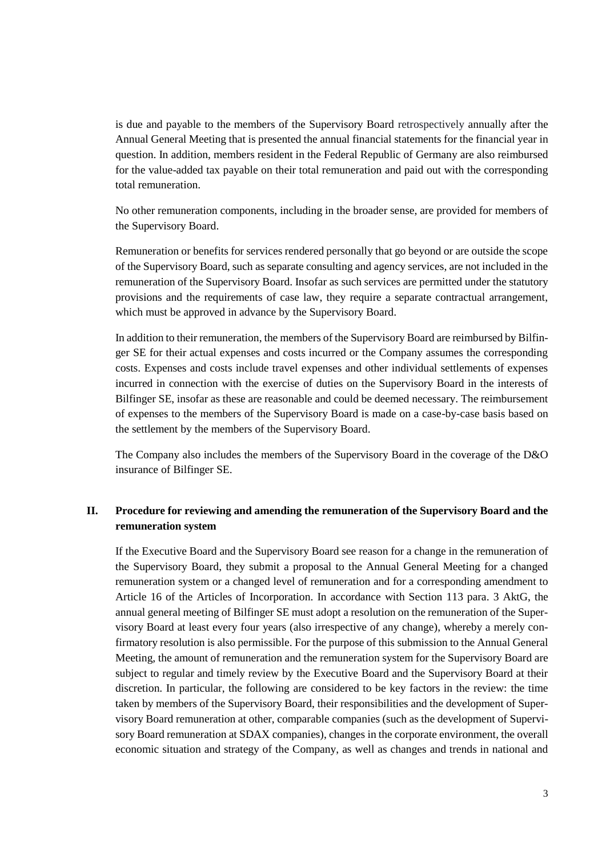is due and payable to the members of the Supervisory Board retrospectively annually after the Annual General Meeting that is presented the annual financial statements for the financial year in question. In addition, members resident in the Federal Republic of Germany are also reimbursed for the value-added tax payable on their total remuneration and paid out with the corresponding total remuneration.

No other remuneration components, including in the broader sense, are provided for members of the Supervisory Board.

Remuneration or benefits for services rendered personally that go beyond or are outside the scope of the Supervisory Board, such as separate consulting and agency services, are not included in the remuneration of the Supervisory Board. Insofar as such services are permitted under the statutory provisions and the requirements of case law, they require a separate contractual arrangement, which must be approved in advance by the Supervisory Board.

In addition to their remuneration, the members of the Supervisory Board are reimbursed by Bilfinger SE for their actual expenses and costs incurred or the Company assumes the corresponding costs. Expenses and costs include travel expenses and other individual settlements of expenses incurred in connection with the exercise of duties on the Supervisory Board in the interests of Bilfinger SE, insofar as these are reasonable and could be deemed necessary. The reimbursement of expenses to the members of the Supervisory Board is made on a case-by-case basis based on the settlement by the members of the Supervisory Board.

The Company also includes the members of the Supervisory Board in the coverage of the D&O insurance of Bilfinger SE.

### **II. Procedure for reviewing and amending the remuneration of the Supervisory Board and the remuneration system**

If the Executive Board and the Supervisory Board see reason for a change in the remuneration of the Supervisory Board, they submit a proposal to the Annual General Meeting for a changed remuneration system or a changed level of remuneration and for a corresponding amendment to Article 16 of the Articles of Incorporation. In accordance with Section 113 para. 3 AktG, the annual general meeting of Bilfinger SE must adopt a resolution on the remuneration of the Supervisory Board at least every four years (also irrespective of any change), whereby a merely confirmatory resolution is also permissible. For the purpose of this submission to the Annual General Meeting, the amount of remuneration and the remuneration system for the Supervisory Board are subject to regular and timely review by the Executive Board and the Supervisory Board at their discretion. In particular, the following are considered to be key factors in the review: the time taken by members of the Supervisory Board, their responsibilities and the development of Supervisory Board remuneration at other, comparable companies (such as the development of Supervisory Board remuneration at SDAX companies), changes in the corporate environment, the overall economic situation and strategy of the Company, as well as changes and trends in national and